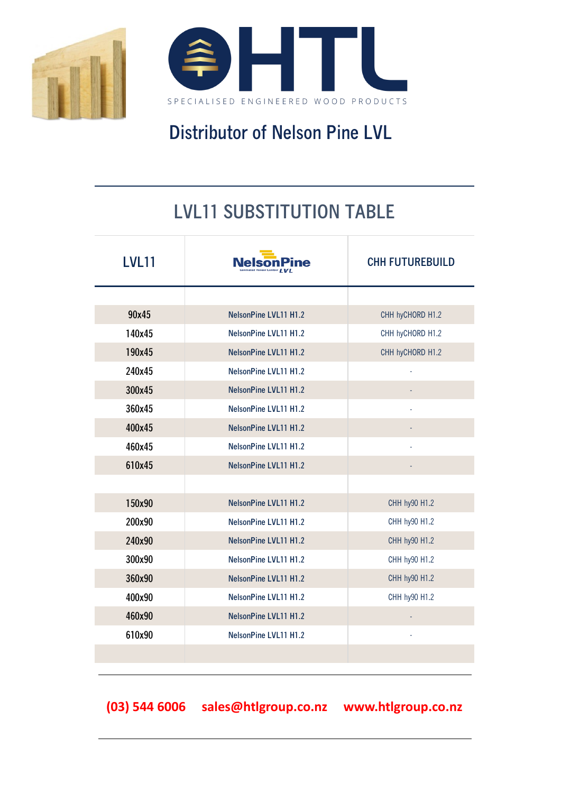

## **Distributor of Nelson Pine LVL**

## **LVL11 SUBSTITUTION TABLE**

| <b>LVL11</b> |                              | <b>CHH FUTUREBUILD</b> |
|--------------|------------------------------|------------------------|
|              |                              |                        |
| 90x45        | <b>NelsonPine LVL11 H1.2</b> | CHH hyCHORD H1.2       |
| 140x45       | <b>NelsonPine LVL11 H1.2</b> | CHH hyCHORD H1.2       |
| 190x45       | <b>NelsonPine LVL11 H1.2</b> | CHH hyCHORD H1.2       |
| 240x45       | <b>NelsonPine LVL11 H1.2</b> |                        |
| 300x45       | <b>NelsonPine LVL11 H1.2</b> |                        |
| 360x45       | NelsonPine LVL11 H1.2        |                        |
| 400x45       | <b>NelsonPine LVL11 H1.2</b> |                        |
| 460x45       | <b>NelsonPine LVL11 H1.2</b> |                        |
| 610x45       | <b>NelsonPine LVL11 H1.2</b> |                        |
|              |                              |                        |
| 150x90       | <b>NelsonPine LVL11 H1.2</b> | CHH hy90 H1.2          |
| 200x90       | <b>NelsonPine LVL11 H1.2</b> | CHH hy90 H1.2          |
| 240x90       | <b>NelsonPine LVL11 H1.2</b> | CHH hy90 H1.2          |
| 300x90       | NelsonPine LVL11 H1.2        | CHH hy90 H1.2          |
| 360x90       | <b>NelsonPine LVL11 H1.2</b> | CHH hy90 H1.2          |
| 400x90       | <b>NelsonPine LVL11 H1.2</b> | CHH hy90 H1.2          |
| 460x90       | <b>NelsonPine LVL11 H1.2</b> |                        |
| 610x90       | NelsonPine LVL11 H1.2        |                        |
|              |                              |                        |
|              |                              |                        |

**(03) 544 6006 sales@htlgroup.co.nz www.htlgroup.co.nz**